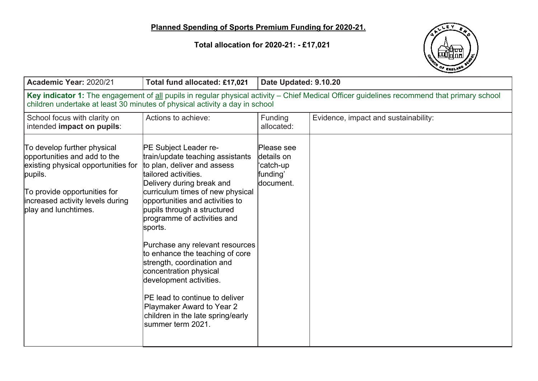**Total allocation for 2020-21: - £17,021**



| Academic Year: 2020/21                                                                                                                                                                                                     | Total fund allocated: £17,021                                                                                                                                                                                                                                                                                                                                                                                                                                                                                                                                                          | Date Updated: 9.10.20                                           |                                      |  |  |
|----------------------------------------------------------------------------------------------------------------------------------------------------------------------------------------------------------------------------|----------------------------------------------------------------------------------------------------------------------------------------------------------------------------------------------------------------------------------------------------------------------------------------------------------------------------------------------------------------------------------------------------------------------------------------------------------------------------------------------------------------------------------------------------------------------------------------|-----------------------------------------------------------------|--------------------------------------|--|--|
| Key indicator 1: The engagement of all pupils in regular physical activity - Chief Medical Officer guidelines recommend that primary school<br>children undertake at least 30 minutes of physical activity a day in school |                                                                                                                                                                                                                                                                                                                                                                                                                                                                                                                                                                                        |                                                                 |                                      |  |  |
| School focus with clarity on<br>intended impact on pupils:                                                                                                                                                                 | Actions to achieve:                                                                                                                                                                                                                                                                                                                                                                                                                                                                                                                                                                    | Funding<br>allocated:                                           | Evidence, impact and sustainability: |  |  |
| To develop further physical<br>opportunities and add to the<br>existing physical opportunities for<br>pupils.<br>To provide opportunities for<br>increased activity levels during<br>play and lunchtimes.                  | <b>PE Subject Leader re-</b><br>train/update teaching assistants<br>to plan, deliver and assess<br>tailored activities.<br>Delivery during break and<br>curriculum times of new physical<br>opportunities and activities to<br>pupils through a structured<br>programme of activities and<br>sports.<br>Purchase any relevant resources<br>to enhance the teaching of core<br>strength, coordination and<br>concentration physical<br>development activities.<br>PE lead to continue to deliver<br>Playmaker Award to Year 2<br>children in the late spring/early<br>summer term 2021. | Please see<br>details on<br>'catch-up<br>funding'<br>ldocument. |                                      |  |  |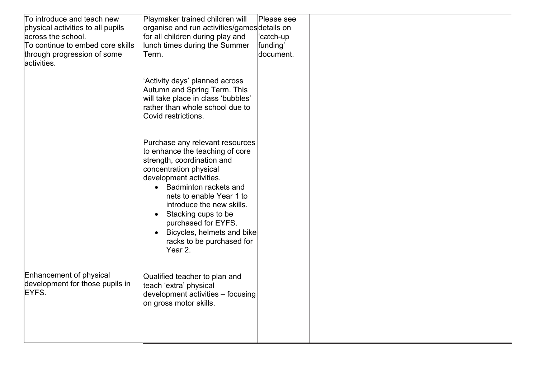| To introduce and teach new                                          | Playmaker trained children will                                                                                                                                                                                                                                                                                                                                                         | Please see |  |
|---------------------------------------------------------------------|-----------------------------------------------------------------------------------------------------------------------------------------------------------------------------------------------------------------------------------------------------------------------------------------------------------------------------------------------------------------------------------------|------------|--|
| physical activities to all pupils                                   | organise and run activities/gamesdetails on                                                                                                                                                                                                                                                                                                                                             |            |  |
| across the school.                                                  | for all children during play and                                                                                                                                                                                                                                                                                                                                                        | 'catch-up  |  |
| To continue to embed core skills                                    | lunch times during the Summer                                                                                                                                                                                                                                                                                                                                                           | funding'   |  |
| through progression of some<br>activities.                          | Term.                                                                                                                                                                                                                                                                                                                                                                                   | document.  |  |
|                                                                     | 'Activity days' planned across<br>Autumn and Spring Term. This<br>will take place in class 'bubbles'<br>rather than whole school due to<br>Covid restrictions.                                                                                                                                                                                                                          |            |  |
|                                                                     | Purchase any relevant resources<br>to enhance the teaching of core<br>strength, coordination and<br>concentration physical<br>development activities.<br>• Badminton rackets and<br>nets to enable Year 1 to<br>introduce the new skills.<br>Stacking cups to be<br>$\bullet$<br>purchased for EYFS.<br>Bicycles, helmets and bike<br>$\bullet$<br>racks to be purchased for<br>Year 2. |            |  |
| Enhancement of physical<br>development for those pupils in<br>EYFS. | Qualified teacher to plan and<br>teach 'extra' physical<br>development activities - focusing<br>on gross motor skills.                                                                                                                                                                                                                                                                  |            |  |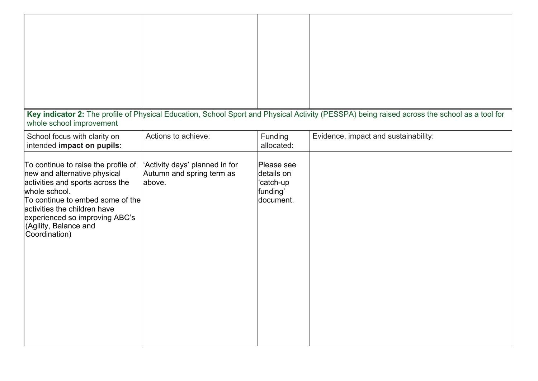| whole school improvement                                                                                                                                                                                                                                                 |                                                                       |                                                                            | Key indicator 2: The profile of Physical Education, School Sport and Physical Activity (PESSPA) being raised across the school as a tool for |
|--------------------------------------------------------------------------------------------------------------------------------------------------------------------------------------------------------------------------------------------------------------------------|-----------------------------------------------------------------------|----------------------------------------------------------------------------|----------------------------------------------------------------------------------------------------------------------------------------------|
| School focus with clarity on<br>intended impact on pupils:                                                                                                                                                                                                               | Actions to achieve:                                                   | Funding<br>allocated:                                                      | Evidence, impact and sustainability:                                                                                                         |
| To continue to raise the profile of<br>new and alternative physical<br>activities and sports across the<br>whole school.<br>To continue to embed some of the<br>activities the children have<br>experienced so improving ABC's<br>(Agility, Balance and<br>Coordination) | 'Activity days' planned in for<br>Autumn and spring term as<br>above. | Please see<br>details on<br>catch-up <sup>'</sup><br>funding'<br>document. |                                                                                                                                              |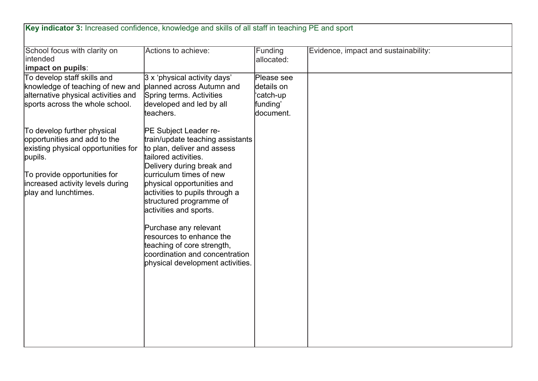| Key indicator 3: Increased confidence, knowledge and skills of all staff in teaching PE and sport                                                                                                         |                                                                                                                                                                                                                                                                                                                                                                                                                                                        |                                                                            |                                      |
|-----------------------------------------------------------------------------------------------------------------------------------------------------------------------------------------------------------|--------------------------------------------------------------------------------------------------------------------------------------------------------------------------------------------------------------------------------------------------------------------------------------------------------------------------------------------------------------------------------------------------------------------------------------------------------|----------------------------------------------------------------------------|--------------------------------------|
| School focus with clarity on<br>intended<br>impact on pupils:                                                                                                                                             | Actions to achieve:                                                                                                                                                                                                                                                                                                                                                                                                                                    | Funding<br>allocated:                                                      | Evidence, impact and sustainability: |
| To develop staff skills and<br>knowledge of teaching of new and<br>alternative physical activities and<br>sports across the whole school.                                                                 | 3 x 'physical activity days'<br>planned across Autumn and<br>Spring terms. Activities<br>developed and led by all<br>teachers.                                                                                                                                                                                                                                                                                                                         | Please see<br>details on<br>catch-up <sup>'</sup><br>funding'<br>document. |                                      |
| To develop further physical<br>opportunities and add to the<br>existing physical opportunities for<br>pupils.<br>To provide opportunities for<br>increased activity levels during<br>play and lunchtimes. | PE Subject Leader re-<br>train/update teaching assistants<br>to plan, deliver and assess<br>tailored activities.<br>Delivery during break and<br>curriculum times of new<br>physical opportunities and<br>activities to pupils through a<br>structured programme of<br>activities and sports.<br>Purchase any relevant<br>resources to enhance the<br>teaching of core strength,<br>coordination and concentration<br>physical development activities. |                                                                            |                                      |